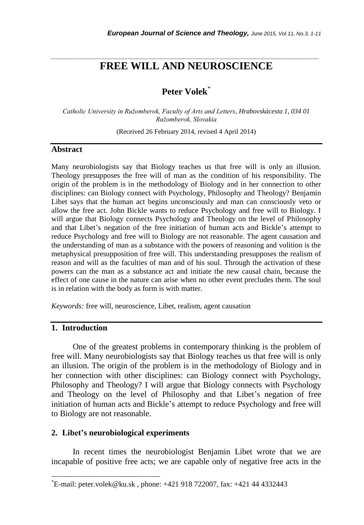# *\_\_\_\_\_\_\_\_\_\_\_\_\_\_\_\_\_\_\_\_\_\_\_\_\_\_\_\_\_\_\_\_\_\_\_\_\_\_\_\_\_\_\_\_\_\_\_\_\_\_\_\_\_\_\_\_\_\_\_\_\_\_\_\_\_\_\_\_\_\_\_* **FREE WILL AND NEUROSCIENCE**

# **Peter Volek**\*

*Catholic University in Ružomberok, Faculty of Arts and Letters, Hrabovskácesta 1, 034 01 Ružomberok, Slovakia*

(Received 26 February 2014, revised 4 April 2014)

#### **Abstract**

Many neurobiologists say that Biology teaches us that free will is only an illusion. Theology presupposes the free will of man as the condition of his responsibility. The origin of the problem is in the methodology of Biology and in her connection to other disciplines: can Biology connect with Psychology, Philosophy and Theology? Benjamin Libet says that the human act begins unconsciously and man can consciously veto or allow the free act. John Bickle wants to reduce Psychology and free will to Biology. I will argue that Biology connects Psychology and Theology on the level of Philosophy and that Libet"s negation of the free initiation of human acts and Bickle"s attempt to reduce Psychology and free will to Biology are not reasonable. The agent causation and the understanding of man as a substance with the powers of reasoning and volition is the metaphysical presupposition of free will. This understanding presupposes the realism of reason and will as the faculties of man and of his soul. Through the activation of these powers can the man as a substance act and initiate the new causal chain, because the effect of one cause in the nature can arise when no other event precludes them. The soul is in relation with the body as form is with matter.

*Keywords:* free will, neuroscience, Libet, realism, agent causation

# **1. Introduction**

l

One of the greatest problems in contemporary thinking is the problem of free will. Many neurobiologists say that Biology teaches us that free will is only an illusion. The origin of the problem is in the methodology of Biology and in her connection with other disciplines: can Biology connect with Psychology, Philosophy and Theology? I will argue that Biology connects with Psychology and Theology on the level of Philosophy and that Libet"s negation of free initiation of human acts and Bickle"s attempt to reduce Psychology and free will to Biology are not reasonable.

### **2. Libet's neurobiological experiments**

In recent times the neurobiologist Benjamin Libet wrote that we are incapable of positive free acts; we are capable only of negative free acts in the

<sup>\*</sup>E-mail: peter.volek@ku.sk , phone: +421 918 722007, fax: +421 44 4332443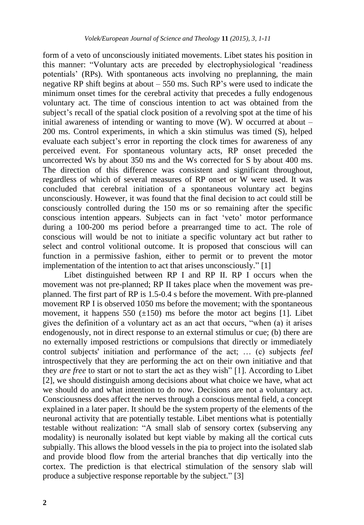form of a veto of unconsciously initiated movements. Libet states his position in this manner: "Voluntary acts are preceded by electrophysiological "readiness potentials" (RPs). With spontaneous acts involving no preplanning, the main negative RP shift begins at about – 550 ms. Such RP"s were used to indicate the minimum onset times for the cerebral activity that precedes a fully endogenous voluntary act. The time of conscious intention to act was obtained from the subject's recall of the spatial clock position of a revolving spot at the time of his initial awareness of intending or wanting to move  $(W)$ . W occurred at about – 200 ms. Control experiments, in which a skin stimulus was timed (S), helped evaluate each subject's error in reporting the clock times for awareness of any perceived event. For spontaneous voluntary acts, RP onset preceded the uncorrected Ws by about 350 ms and the Ws corrected for S by about 400 ms. The direction of this difference was consistent and significant throughout, regardless of which of several measures of RP onset or W were used. It was concluded that cerebral initiation of a spontaneous voluntary act begins unconsciously. However, it was found that the final decision to act could still be consciously controlled during the 150 ms or so remaining after the specific conscious intention appears. Subjects can in fact "veto" motor performance during a 100-200 ms period before a prearranged time to act. The role of conscious will would be not to initiate a specific voluntary act but rather to select and control volitional outcome. It is proposed that conscious will can function in a permissive fashion, either to permit or to prevent the motor implementation of the intention to act that arises unconsciously." [1]

Libet distinguished between RP I and RP II. RP I occurs when the movement was not pre-planned; RP II takes place when the movement was preplanned. The first part of RP is 1.5-0.4 s before the movement. With pre-planned movement RP I is observed 1050 ms before the movement; with the spontaneous movement, it happens 550  $(\pm 150)$  ms before the motor act begins [1]. Libet gives the definition of a voluntary act as an act that occurs, "when (a) it arises endogenously, not in direct response to an external stimulus or cue; (b) there are no externally imposed restrictions or compulsions that directly or immediately control subjects' initiation and performance of the act; … (c) subjects *feel*  introspectively that they are performing the act on their own initiative and that they *are free* to start or not to start the act as they wish" [1]. According to Libet [2], we should distinguish among decisions about what choice we have, what act we should do and what intention to do now. Decisions are not a voluntary act. Consciousness does affect the nerves through a conscious mental field, a concept explained in a later paper. It should be the system property of the elements of the neuronal activity that are potentially testable. Libet mentions what is potentially testable without realization: "A small slab of sensory cortex (subserving any modality) is neuronally isolated but kept viable by making all the cortical cuts subpially. This allows the blood vessels in the pia to project into the isolated slab and provide blood flow from the arterial branches that dip vertically into the cortex. The prediction is that electrical stimulation of the sensory slab will produce a subjective response reportable by the subject." [3]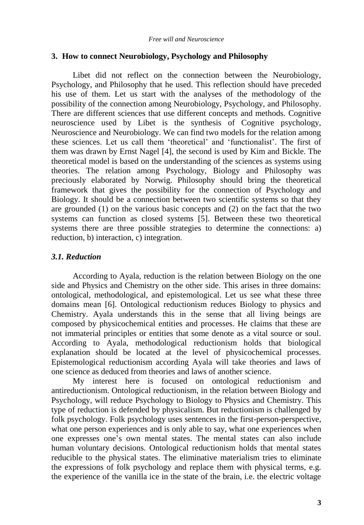### **3. How to connect Neurobiology, Psychology and Philosophy**

Libet did not reflect on the connection between the Neurobiology, Psychology, and Philosophy that he used. This reflection should have preceded his use of them. Let us start with the analyses of the methodology of the possibility of the connection among Neurobiology, Psychology, and Philosophy. There are different sciences that use different concepts and methods. Cognitive neuroscience used by Libet is the synthesis of Cognitive psychology, Neuroscience and Neurobiology. We can find two models for the relation among these sciences. Let us call them "theoretical" and "functionalist". The first of them was drawn by Ernst Nagel [4], the second is used by Kim and Bickle. The theoretical model is based on the understanding of the sciences as systems using theories. The relation among Psychology, Biology and Philosophy was preciously elaborated by Norwig. Philosophy should bring the theoretical framework that gives the possibility for the connection of Psychology and Biology. It should be a connection between two scientific systems so that they are grounded (1) on the various basic concepts and (2) on the fact that the two systems can function as closed systems [5]. Between these two theoretical systems there are three possible strategies to determine the connections: a) reduction, b) interaction, c) integration.

## *3.1. Reduction*

According to Ayala, reduction is the relation between Biology on the one side and Physics and Chemistry on the other side. This arises in three domains: ontological, methodological, and epistemological. Let us see what these three domains mean [6]. Ontological reductionism reduces Biology to physics and Chemistry. Ayala understands this in the sense that all living beings are composed by physicochemical entities and processes. He claims that these are not immaterial principles or entities that some denote as a vital source or soul. According to Ayala, methodological reductionism holds that biological explanation should be located at the level of physicochemical processes. Epistemological reductionism according Ayala will take theories and laws of one science as deduced from theories and laws of another science.

My interest here is focused on ontological reductionism and antireductionism. Ontological reductionism, in the relation between Biology and Psychology, will reduce Psychology to Biology to Physics and Chemistry. This type of reduction is defended by physicalism. But reductionism is challenged by folk psychology. Folk psychology uses sentences in the first-person-perspective, what one person experiences and is only able to say, what one experiences when one expresses one"s own mental states. The mental states can also include human voluntary decisions. Ontological reductionism holds that mental states reducible to the physical states. The eliminative materialism tries to eliminate the expressions of folk psychology and replace them with physical terms, e.g. the experience of the vanilla ice in the state of the brain, i.e. the electric voltage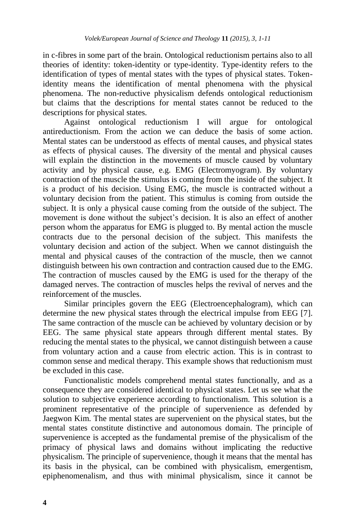in c-fibres in some part of the brain. Ontological reductionism pertains also to all theories of identity: token-identity or type-identity. Type-identity refers to the identification of types of mental states with the types of physical states. Tokenidentity means the identification of mental phenomena with the physical phenomena. The non-reductive physicalism defends ontological reductionism but claims that the descriptions for mental states cannot be reduced to the descriptions for physical states.

Against ontological reductionism I will argue for ontological antireductionism. From the action we can deduce the basis of some action. Mental states can be understood as effects of mental causes, and physical states as effects of physical causes. The diversity of the mental and physical causes will explain the distinction in the movements of muscle caused by voluntary activity and by physical cause, e.g. EMG (Electromyogram). By voluntary contraction of the muscle the stimulus is coming from the inside of the subject. It is a product of his decision. Using EMG, the muscle is contracted without a voluntary decision from the patient. This stimulus is coming from outside the subject. It is only a physical cause coming from the outside of the subject. The movement is done without the subject's decision. It is also an effect of another person whom the apparatus for EMG is plugged to. By mental action the muscle contracts due to the personal decision of the subject. This manifests the voluntary decision and action of the subject. When we cannot distinguish the mental and physical causes of the contraction of the muscle, then we cannot distinguish between his own contraction and contraction caused due to the EMG. The contraction of muscles caused by the EMG is used for the therapy of the damaged nerves. The contraction of muscles helps the revival of nerves and the reinforcement of the muscles.

Similar principles govern the EEG (Electroencephalogram), which can determine the new physical states through the electrical impulse from EEG [7]. The same contraction of the muscle can be achieved by voluntary decision or by EEG. The same physical state appears through different mental states. By reducing the mental states to the physical, we cannot distinguish between a cause from voluntary action and a cause from electric action. This is in contrast to common sense and medical therapy. This example shows that reductionism must be excluded in this case.

Functionalistic models comprehend mental states functionally, and as a consequence they are considered identical to physical states. Let us see what the solution to subjective experience according to functionalism. This solution is a prominent representative of the principle of supervenience as defended by Jaegwon Kim. The mental states are supervenient on the physical states, but the mental states constitute distinctive and autonomous domain. The principle of supervenience is accepted as the fundamental premise of the physicalism of the primacy of physical laws and domains without implicating the reductive physicalism. The principle of supervenience, though it means that the mental has its basis in the physical, can be combined with physicalism, emergentism, epiphenomenalism, and thus with minimal physicalism, since it cannot be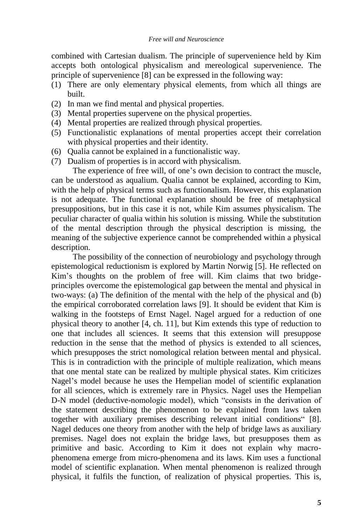combined with Cartesian dualism. The principle of supervenience held by Kim accepts both ontological physicalism and mereological supervenience. The principle of supervenience [8] can be expressed in the following way:

- (1) There are only elementary physical elements, from which all things are built.
- (2) In man we find mental and physical properties.
- (3) Mental properties supervene on the physical properties.
- (4) Mental properties are realized through physical properties.
- (5) Functionalistic explanations of mental properties accept their correlation with physical properties and their identity.
- (6) Qualia cannot be explained in a functionalistic way.
- (7) Dualism of properties is in accord with physicalism.

The experience of free will, of one's own decision to contract the muscle, can be understood as aqualium. Qualia cannot be explained, according to Kim, with the help of physical terms such as functionalism. However, this explanation is not adequate. The functional explanation should be free of metaphysical presuppositions, but in this case it is not, while Kim assumes physicalism. The peculiar character of qualia within his solution is missing. While the substitution of the mental description through the physical description is missing, the meaning of the subjective experience cannot be comprehended within a physical description.

The possibility of the connection of neurobiology and psychology through epistemological reductionism is explored by Martin Norwig [5]. He reflected on Kim"s thoughts on the problem of free will. Kim claims that two bridgeprinciples overcome the epistemological gap between the mental and physical in two-ways: (a) The definition of the mental with the help of the physical and (b) the empirical corroborated correlation laws [9]. It should be evident that Kim is walking in the footsteps of Ernst Nagel. Nagel argued for a reduction of one physical theory to another [4, ch. 11], but Kim extends this type of reduction to one that includes all sciences. It seems that this extension will presuppose reduction in the sense that the method of physics is extended to all sciences, which presupposes the strict nomological relation between mental and physical. This is in contradiction with the principle of multiple realization, which means that one mental state can be realized by multiple physical states. Kim criticizes Nagel"s model because he uses the Hempelian model of scientific explanation for all sciences, which is extremely rare in Physics. Nagel uses the Hempelian D-N model (deductive-nomologic model), which "consists in the derivation of the statement describing the phenomenon to be explained from laws taken together with auxiliary premises describing relevant initial conditions" [8]. Nagel deduces one theory from another with the help of bridge laws as auxiliary premises. Nagel does not explain the bridge laws, but presupposes them as primitive and basic. According to Kim it does not explain why macrophenomena emerge from micro-phenomena and its laws. Kim uses a functional model of scientific explanation. When mental phenomenon is realized through physical, it fulfils the function, of realization of physical properties. This is,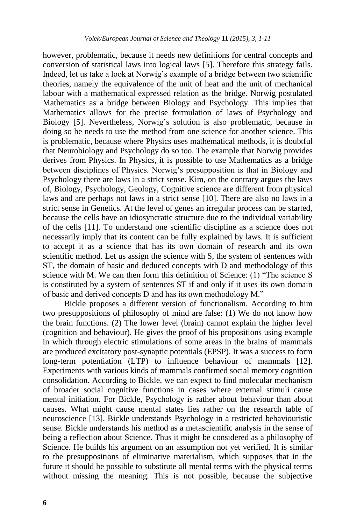however, problematic, because it needs new definitions for central concepts and conversion of statistical laws into logical laws [5]. Therefore this strategy fails. Indeed, let us take a look at Norwig"s example of a bridge between two scientific theories, namely the equivalence of the unit of heat and the unit of mechanical labour with a mathematical expressed relation as the bridge. Norwig postulated Mathematics as a bridge between Biology and Psychology. This implies that Mathematics allows for the precise formulation of laws of Psychology and Biology [5]. Nevertheless, Norwig"s solution is also problematic, because in doing so he needs to use the method from one science for another science. This is problematic, because where Physics uses mathematical methods, it is doubtful that Neurobiology and Psychology do so too. The example that Norwig provides derives from Physics. In Physics, it is possible to use Mathematics as a bridge between disciplines of Physics. Norwig"s presupposition is that in Biology and Psychology there are laws in a strict sense. Kim, on the contrary argues the laws of, Biology, Psychology, Geology, Cognitive science are different from physical laws and are perhaps not laws in a strict sense [10]. There are also no laws in a strict sense in Genetics. At the level of genes an irregular process can be started, because the cells have an idiosyncratic structure due to the individual variability of the cells [11]. To understand one scientific discipline as a science does not necessarily imply that its content can be fully explained by laws. It is sufficient to accept it as a science that has its own domain of research and its own scientific method. Let us assign the science with S, the system of sentences with ST, the domain of basic and deduced concepts with D and methodology of this science with M. We can then form this definition of Science: (1) "The science S is constituted by a system of sentences ST if and only if it uses its own domain of basic and derived concepts D and has its own methodology M."

Bickle proposes a different version of functionalism. According to him two presuppositions of philosophy of mind are false: (1) We do not know how the brain functions. (2) The lower level (brain) cannot explain the higher level (cognition and behaviour). He gives the proof of his propositions using example in which through electric stimulations of some areas in the brains of mammals are produced excitatory post-synaptic potentials (EPSP). It was a success to form long-term potentiation (LTP) to influence behaviour of mammals [12]. Experiments with various kinds of mammals confirmed social memory cognition consolidation. According to Bickle, we can expect to find molecular mechanism of broader social cognitive functions in cases where external stimuli cause mental initiation. For Bickle, Psychology is rather about behaviour than about causes. What might cause mental states lies rather on the research table of neuroscience [13]. Bickle understands Psychology in a restricted behaviouristic sense. Bickle understands his method as a metascientific analysis in the sense of being a reflection about Science. Thus it might be considered as a philosophy of Science. He builds his argument on an assumption not yet verified. It is similar to the presuppositions of eliminative materialism, which supposes that in the future it should be possible to substitute all mental terms with the physical terms without missing the meaning. This is not possible, because the subjective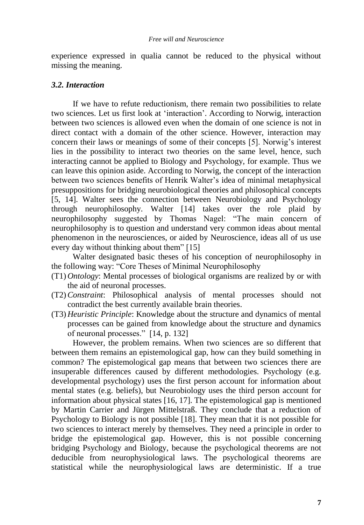experience expressed in qualia cannot be reduced to the physical without missing the meaning.

#### *3.2. Interaction*

If we have to refute reductionism, there remain two possibilities to relate two sciences. Let us first look at "interaction". According to Norwig, interaction between two sciences is allowed even when the domain of one science is not in direct contact with a domain of the other science. However, interaction may concern their laws or meanings of some of their concepts [5]. Norwig's interest lies in the possibility to interact two theories on the same level, hence, such interacting cannot be applied to Biology and Psychology, for example. Thus we can leave this opinion aside. According to Norwig, the concept of the interaction between two sciences benefits of Henrik Walter"s idea of minimal metaphysical presuppositions for bridging neurobiological theories and philosophical concepts [5, 14]. Walter sees the connection between Neurobiology and Psychology through neurophilosophy. Walter [14] takes over the role plaid by neurophilosophy suggested by Thomas Nagel: "The main concern of neurophilosophy is to question and understand very common ideas about mental phenomenon in the neurosciences, or aided by Neuroscience, ideas all of us use every day without thinking about them" [15]

Walter designated basic theses of his conception of neurophilosophy in the following way: "Core Theses of Minimal Neurophilosophy

- (T1) *Ontology*: Mental processes of biological organisms are realized by or with the aid of neuronal processes.
- (T2)*Constraint*: Philosophical analysis of mental processes should not contradict the best currently available brain theories.
- (T3) *Heuristic Principle*: Knowledge about the structure and dynamics of mental processes can be gained from knowledge about the structure and dynamics of neuronal processes." [14, p. 132]

However, the problem remains. When two sciences are so different that between them remains an epistemological gap, how can they build something in common? The epistemological gap means that between two sciences there are insuperable differences caused by different methodologies. Psychology (e.g. developmental psychology) uses the first person account for information about mental states (e.g. beliefs), but Neurobiology uses the third person account for information about physical states [16, 17]. The epistemological gap is mentioned by Martin Carrier and Jürgen Mittelstraß. They conclude that a reduction of Psychology to Biology is not possible [18]. They mean that it is not possible for two sciences to interact merely by themselves. They need a principle in order to bridge the epistemological gap. However, this is not possible concerning bridging Psychology and Biology, because the psychological theorems are not deducible from neurophysiological laws. The psychological theorems are statistical while the neurophysiological laws are deterministic. If a true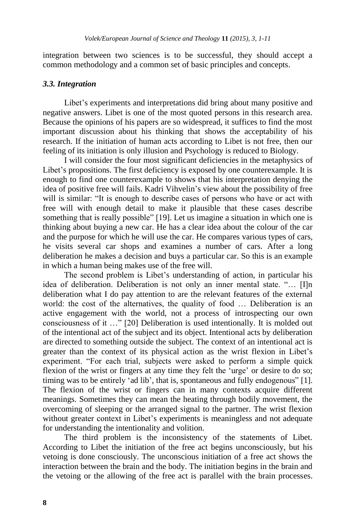integration between two sciences is to be successful, they should accept a common methodology and a common set of basic principles and concepts.

#### *3.3. Integration*

Libet's experiments and interpretations did bring about many positive and negative answers. Libet is one of the most quoted persons in this research area. Because the opinions of his papers are so widespread, it suffices to find the most important discussion about his thinking that shows the acceptability of his research. If the initiation of human acts according to Libet is not free, then our feeling of its initiation is only illusion and Psychology is reduced to Biology.

I will consider the four most significant deficiencies in the metaphysics of Libet's propositions. The first deficiency is exposed by one counterexample. It is enough to find one counterexample to shows that his interpretation denying the idea of positive free will fails. Kadri Vihvelin"s view about the possibility of free will is similar: "It is enough to describe cases of persons who have or act with free will with enough detail to make it plausible that these cases describe something that is really possible" [19]. Let us imagine a situation in which one is thinking about buying a new car. He has a clear idea about the colour of the car and the purpose for which he will use the car. He compares various types of cars, he visits several car shops and examines a number of cars. After a long deliberation he makes a decision and buys a particular car. So this is an example in which a human being makes use of the free will.

The second problem is Libet"s understanding of action, in particular his idea of deliberation. Deliberation is not only an inner mental state. "… [I]n deliberation what I do pay attention to are the relevant features of the external world: the cost of the alternatives, the quality of food … Deliberation is an active engagement with the world, not a process of introspecting our own consciousness of it …" [20] Deliberation is used intentionally. It is molded out of the intentional act of the subject and its object. Intentional acts by deliberation are directed to something outside the subject. The context of an intentional act is greater than the context of its physical action as the wrist flexion in Libet"s experiment. "For each trial, subjects were asked to perform a simple quick flexion of the wrist or fingers at any time they felt the 'urge' or desire to do so; timing was to be entirely "ad lib", that is, spontaneous and fully endogenous" [1]. The flexion of the wrist or fingers can in many contexts acquire different meanings. Sometimes they can mean the heating through bodily movement, the overcoming of sleeping or the arranged signal to the partner. The wrist flexion without greater context in Libet's experiments is meaningless and not adequate for understanding the intentionality and volition.

The third problem is the inconsistency of the statements of Libet. According to Libet the initiation of the free act begins unconsciously, but his vetoing is done consciously. The unconscious initiation of a free act shows the interaction between the brain and the body. The initiation begins in the brain and the vetoing or the allowing of the free act is parallel with the brain processes.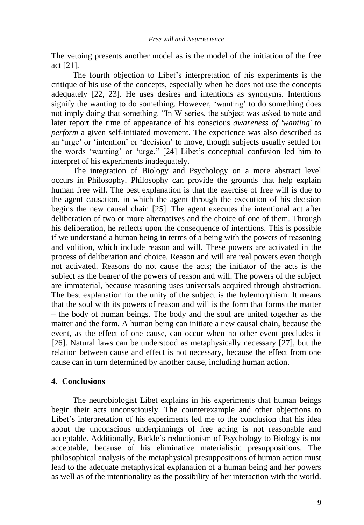The vetoing presents another model as is the model of the initiation of the free act [21].

The fourth objection to Libet"s interpretation of his experiments is the critique of his use of the concepts, especially when he does not use the concepts adequately [22, 23]. He uses desires and intentions as synonyms. Intentions signify the wanting to do something. However, "wanting" to do something does not imply doing that something. "In W series, the subject was asked to note and later report the time of appearance of his conscious *awareness of 'wanting' to perform* a given self-initiated movement. The experience was also described as an "urge" or "intention" or "decision" to move, though subjects usually settled for the words "wanting" or "urge." [24] Libet"s conceptual confusion led him to interpret of his experiments inadequately.

The integration of Biology and Psychology on a more abstract level occurs in Philosophy. Philosophy can provide the grounds that help explain human free will. The best explanation is that the exercise of free will is due to the agent causation, in which the agent through the execution of his decision begins the new causal chain [25]. The agent executes the intentional act after deliberation of two or more alternatives and the choice of one of them. Through his deliberation, he reflects upon the consequence of intentions. This is possible if we understand a human being in terms of a being with the powers of reasoning and volition, which include reason and will. These powers are activated in the process of deliberation and choice. Reason and will are real powers even though not activated. Reasons do not cause the acts; the initiator of the acts is the subject as the bearer of the powers of reason and will. The powers of the subject are immaterial, because reasoning uses universals acquired through abstraction. The best explanation for the unity of the subject is the hylemorphism. It means that the soul with its powers of reason and will is the form that forms the matter – the body of human beings. The body and the soul are united together as the matter and the form. A human being can initiate a new causal chain, because the event, as the effect of one cause, can occur when no other event precludes it [26]. Natural laws can be understood as metaphysically necessary [27], but the relation between cause and effect is not necessary, because the effect from one cause can in turn determined by another cause, including human action.

## **4. Conclusions**

The neurobiologist Libet explains in his experiments that human beings begin their acts unconsciously. The counterexample and other objections to Libet's interpretation of his experiments led me to the conclusion that his idea about the unconscious underpinnings of free acting is not reasonable and acceptable. Additionally, Bickle"s reductionism of Psychology to Biology is not acceptable, because of his eliminative materialistic presuppositions. The philosophical analysis of the metaphysical presuppositions of human action must lead to the adequate metaphysical explanation of a human being and her powers as well as of the intentionality as the possibility of her interaction with the world.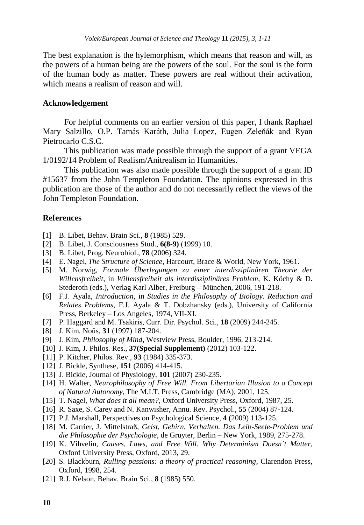The best explanation is the hylemorphism, which means that reason and will, as the powers of a human being are the powers of the soul. For the soul is the form of the human body as matter. These powers are real without their activation, which means a realism of reason and will.

#### **Acknowledgement**

For helpful comments on an earlier version of this paper, I thank Raphael Mary Salzillo, O.P. Tamás Karáth, Julia Lopez, Eugen Zeleňák and Ryan Pietrocarlo C.S.C.

This publication was made possible through the support of a grant VEGA 1/0192/14 Problem of Realism/Anitrealism in Humanities.

This publication was also made possible through the support of a grant ID #15637 from the John Templeton Foundation. The opinions expressed in this publication are those of the author and do not necessarily reflect the views of the John Templeton Foundation.

#### **References**

- [1] B. Libet, Behav. Brain Sci., **8** (1985) 529.
- [2] B. Libet, J. Consciousness Stud., **6(8-9)** (1999) 10.
- [3] B. Libet, Prog. Neurobiol., **78** (2006) 324.
- [4] E. Nagel, *The Structure of Science*, Harcourt, Brace & World, New York, 1961.
- [5] M. Norwig, *Formale Überlegungen zu einer interdisziplinären Theorie der Willensfreiheit*, in *Willensfreiheit als interdisziplinäres Problem*, K. Köchy & D. Stederoth (eds.), Verlag Karl Alber, Freiburg – München, 2006, 191-218.
- [6] F.J. Ayala, *Introduction*, in *Studies in the Philosophy of Biology. Reduction and Relates Problems*, F.J. Ayala & T. Dobzhansky (eds.), University of California Press, Berkeley – Los Angeles, 1974, VII-XI.
- [7] P. Haggard and M. Tsakiris, Curr. Dir. Psychol. Sci., **18** (2009) 244-245.
- [8] J. Kim, Noûs, **31** (1997) 187-204.
- [9] J. Kim, *Philosophy of Mind*, Westview Press, Boulder, 1996, 213-214.
- [10] J. Kim, J. Philos. Res., **37(Special Supplement)** (2012) 103-122.
- [11] P. Kitcher, Philos. Rev., **93** (1984) 335-373.
- [12] J. Bickle, Synthese, **151** (2006) 414-415.
- [13] J. Bickle, Journal of Physiology, **101** (2007) 230-235.
- [14] H. Walter, *Neurophilosophy of Free Will. From Libertarian Illusion to a Concept of Natural Autonomy*, The M.I.T. Press, Cambridge (MA), 2001, 125.
- [15] T. Nagel, *What does it all mean?*, Oxford University Press, Oxford, 1987, 25.
- [16] R. Saxe, S. Carey and N. Kanwisher, Annu. Rev. Psychol., **55** (2004) 87-124.
- [17] P.J. Marshall, Perspectives on Psychological Science, **4** (2009) 113-125.
- [18] M. Carrier, J. Mittelstraß, *Geist, Gehirn, Verhalten. Das Leib-Seele-Problem und die Philosophie der Psychologie*, de Gruyter, Berlin – New York, 1989, 275-278.
- [19] K. Vihvelin, *Causes, Laws, and Free Will. Why Determinism Doesn´t Matter*, Oxford University Press, Oxford, 2013, 29.
- [20] S. Blackburn, *Rulling passions: a theory of practical reasoning*, Clarendon Press, Oxford, 1998, 254.
- [21] R.J. Nelson, Behav. Brain Sci., **8** (1985) 550.